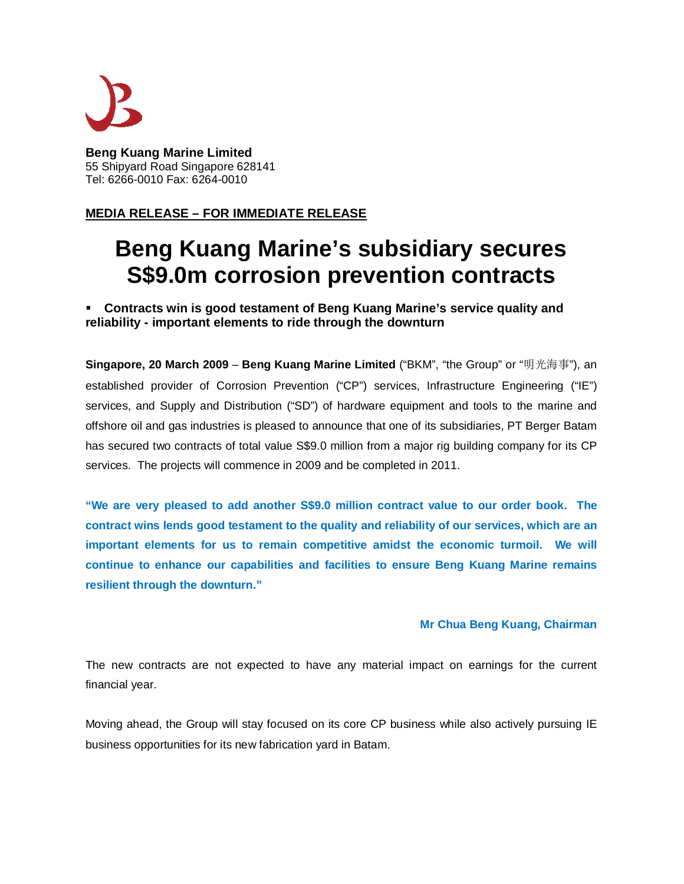

**Beng Kuang Marine Limited** 55 Shipyard Road Singapore 628141 Tel: 6266-0010 Fax: 6264-0010

## **MEDIA RELEASE – FOR IMMEDIATE RELEASE**

# **Beng Kuang Marine's subsidiary secures S\$9.0m corrosion prevention contracts**

 **Contracts win is good testament of Beng Kuang Marine's service quality and reliability - important elements to ride through the downturn**

**Singapore, 20 March 2009** – **Beng Kuang Marine Limited** ("BKM", "the Group" or "明光海事"), an established provider of Corrosion Prevention ("CP") services, Infrastructure Engineering ("IE") services, and Supply and Distribution ("SD") of hardware equipment and tools to the marine and offshore oil and gas industries is pleased to announce that one of its subsidiaries, PT Berger Batam has secured two contracts of total value S\$9.0 million from a major rig building company for its CP services. The projects will commence in 2009 and be completed in 2011.

**"We are very pleased to add another S\$9.0 million contract value to our order book. The contract wins lends good testament to the quality and reliability of our services, which are an important elements for us to remain competitive amidst the economic turmoil. We will continue to enhance our capabilities and facilities to ensure Beng Kuang Marine remains resilient through the downturn."**

### **Mr Chua Beng Kuang, Chairman**

The new contracts are not expected to have any material impact on earnings for the current financial year.

Moving ahead, the Group will stay focused on its core CP business while also actively pursuing IE business opportunities for its new fabrication yard in Batam.